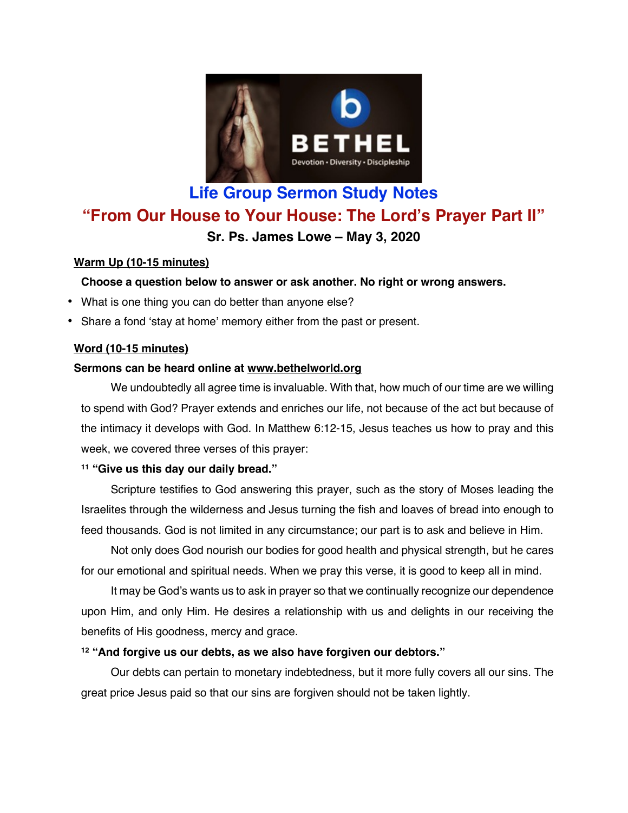

# **Life Group Sermon Study Notes "From Our House to Your House: The Lord's Prayer Part II" Sr. Ps. James Lowe – May 3, 2020**

# **Warm Up (10-15 minutes)**

# **Choose a question below to answer or ask another. No right or wrong answers.**

- What is one thing you can do better than anyone else?
- Share a fond 'stay at home' memory either from the past or present.

## **Word (10-15 minutes)**

# **Sermons can be heard online at www.bethelworld.org**

We undoubtedly all agree time is invaluable. With that, how much of our time are we willing to spend with God? Prayer extends and enriches our life, not because of the act but because of the intimacy it develops with God. In Matthew 6:12-15, Jesus teaches us how to pray and this week, we covered three verses of this prayer:

## **<sup>11</sup> "Give us this day our daily bread."**

Scripture testifies to God answering this prayer, such as the story of Moses leading the Israelites through the wilderness and Jesus turning the fish and loaves of bread into enough to feed thousands. God is not limited in any circumstance; our part is to ask and believe in Him.

Not only does God nourish our bodies for good health and physical strength, but he cares for our emotional and spiritual needs. When we pray this verse, it is good to keep all in mind.

It may be God's wants us to ask in prayer so that we continually recognize our dependence upon Him, and only Him. He desires a relationship with us and delights in our receiving the benefits of His goodness, mercy and grace.

## **<sup>12</sup> "And forgive us our debts, as we also have forgiven our debtors."**

Our debts can pertain to monetary indebtedness, but it more fully covers all our sins. The great price Jesus paid so that our sins are forgiven should not be taken lightly.